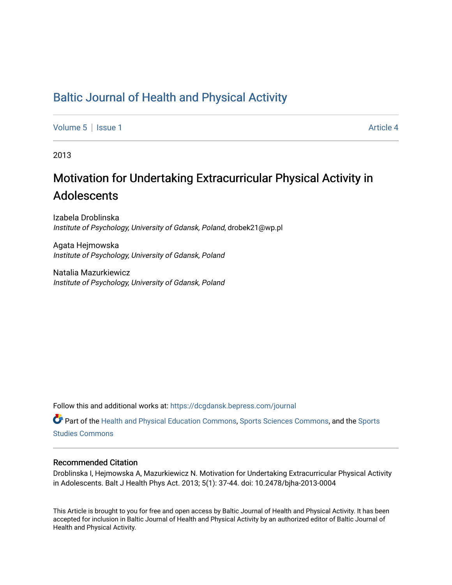# [Baltic Journal of Health and Physical Activity](https://dcgdansk.bepress.com/journal)

[Volume 5](https://dcgdansk.bepress.com/journal/vol5) | [Issue 1](https://dcgdansk.bepress.com/journal/vol5/iss1) Article 4

2013

# Motivation for Undertaking Extracurricular Physical Activity in Adolescents

Izabela Droblinska Institute of Psychology, University of Gdansk, Poland, drobek21@wp.pl

Agata Hejmowska Institute of Psychology, University of Gdansk, Poland

Natalia Mazurkiewicz Institute of Psychology, University of Gdansk, Poland

Follow this and additional works at: [https://dcgdansk.bepress.com/journal](https://dcgdansk.bepress.com/journal?utm_source=dcgdansk.bepress.com%2Fjournal%2Fvol5%2Fiss1%2F4&utm_medium=PDF&utm_campaign=PDFCoverPages)

Part of the [Health and Physical Education Commons](http://network.bepress.com/hgg/discipline/1327?utm_source=dcgdansk.bepress.com%2Fjournal%2Fvol5%2Fiss1%2F4&utm_medium=PDF&utm_campaign=PDFCoverPages), [Sports Sciences Commons](http://network.bepress.com/hgg/discipline/759?utm_source=dcgdansk.bepress.com%2Fjournal%2Fvol5%2Fiss1%2F4&utm_medium=PDF&utm_campaign=PDFCoverPages), and the [Sports](http://network.bepress.com/hgg/discipline/1198?utm_source=dcgdansk.bepress.com%2Fjournal%2Fvol5%2Fiss1%2F4&utm_medium=PDF&utm_campaign=PDFCoverPages)  [Studies Commons](http://network.bepress.com/hgg/discipline/1198?utm_source=dcgdansk.bepress.com%2Fjournal%2Fvol5%2Fiss1%2F4&utm_medium=PDF&utm_campaign=PDFCoverPages) 

#### Recommended Citation

Droblinska I, Hejmowska A, Mazurkiewicz N. Motivation for Undertaking Extracurricular Physical Activity in Adolescents. Balt J Health Phys Act. 2013; 5(1): 37-44. doi: 10.2478/bjha-2013-0004

This Article is brought to you for free and open access by Baltic Journal of Health and Physical Activity. It has been accepted for inclusion in Baltic Journal of Health and Physical Activity by an authorized editor of Baltic Journal of Health and Physical Activity.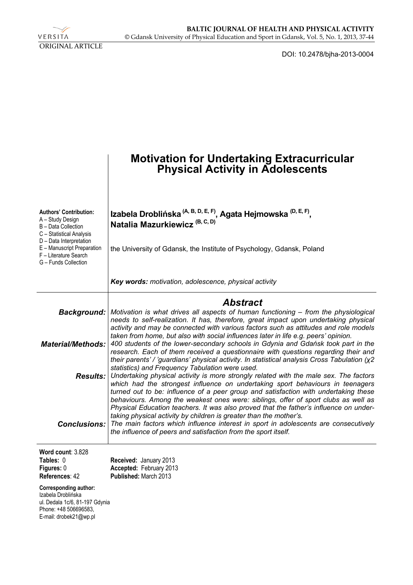

DOI: 10.2478/bjha-2013-0004

|                                                                                                                                         | <b>Motivation for Undertaking Extracurricular<br/>Physical Activity in Adolescents</b>                                                                                                                                                                                                                                                                                                                                                        |
|-----------------------------------------------------------------------------------------------------------------------------------------|-----------------------------------------------------------------------------------------------------------------------------------------------------------------------------------------------------------------------------------------------------------------------------------------------------------------------------------------------------------------------------------------------------------------------------------------------|
| <b>Authors' Contribution:</b><br>A - Study Design<br>B - Data Collection<br>C - Statistical Analysis                                    | Izabela Droblińska (A, B, D, E, F), Agata Hejmowska <sup>(D, E, F)</sup> ,<br>Natalia Mazurkiewicz <sup>(B, C, D)</sup>                                                                                                                                                                                                                                                                                                                       |
| D - Data Interpretation<br>E - Manuscript Preparation<br>F - Literature Search<br>G - Funds Collection                                  | the University of Gdansk, the Institute of Psychology, Gdansk, Poland                                                                                                                                                                                                                                                                                                                                                                         |
|                                                                                                                                         | <b>Key words:</b> motivation, adolescence, physical activity                                                                                                                                                                                                                                                                                                                                                                                  |
| <b>Background:</b>                                                                                                                      | <b>Abstract</b><br>Motivation is what drives all aspects of human functioning – from the physiological<br>needs to self-realization. It has, therefore, great impact upon undertaking physical<br>activity and may be connected with various factors such as attitudes and role models                                                                                                                                                        |
| <b>Material/Methods:</b>                                                                                                                | taken from home, but also with social influences later in life e.g. peers' opinion.<br>400 students of the lower-secondary schools in Gdynia and Gdańsk took part in the<br>research. Each of them received a questionnaire with questions regarding their and<br>their parents'/'guardians' physical activity. In statistical analysis Cross Tabulation (x2)<br>statistics) and Frequency Tabulation were used.                              |
| <b>Results:</b>                                                                                                                         | Undertaking physical activity is more strongly related with the male sex. The factors<br>which had the strongest influence on undertaking sport behaviours in teenagers<br>turned out to be: influence of a peer group and satisfaction with undertaking these<br>behaviours. Among the weakest ones were: siblings, offer of sport clubs as well as<br>Physical Education teachers. It was also proved that the father's influence on under- |
| <b>Conclusions:</b>                                                                                                                     | taking physical activity by children is greater than the mother's.<br>The main factors which influence interest in sport in adolescents are consecutively<br>the influence of peers and satisfaction from the sport itself.                                                                                                                                                                                                                   |
| Word count: 3.828<br>Tables: 0<br>Figures: 0<br>References: 42                                                                          | Received: January 2013<br>Accepted: February 2013<br>Published: March 2013                                                                                                                                                                                                                                                                                                                                                                    |
| <b>Corresponding author:</b><br>Izabela Droblińska<br>ul. Dedala 1c/6, 81-197 Gdynia<br>Phone: +48 506696583,<br>E-mail: drobek21@wp.pl |                                                                                                                                                                                                                                                                                                                                                                                                                                               |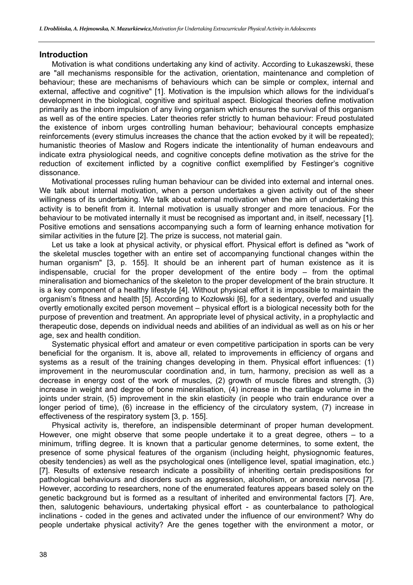#### **Introduction**

Motivation is what conditions undertaking any kind of activity. According to Łukaszewski, these are "all mechanisms responsible for the activation, orientation, maintenance and completion of behaviour; these are mechanisms of behaviours which can be simple or complex, internal and external, affective and cognitive" [1]. Motivation is the impulsion which allows for the individual's development in the biological, cognitive and spiritual aspect. Biological theories define motivation primarily as the inborn impulsion of any living organism which ensures the survival of this organism as well as of the entire species. Later theories refer strictly to human behaviour: Freud postulated the existence of inborn urges controlling human behaviour; behavioural concepts emphasize reinforcements (every stimulus increases the chance that the action evoked by it will be repeated); humanistic theories of Maslow and Rogers indicate the intentionality of human endeavours and indicate extra physiological needs, and cognitive concepts define motivation as the strive for the reduction of excitement inflicted by a cognitive conflict exemplified by Festinger's cognitive dissonance.

Motivational processes ruling human behaviour can be divided into external and internal ones. We talk about internal motivation, when a person undertakes a given activity out of the sheer willingness of its undertaking. We talk about external motivation when the aim of undertaking this activity is to benefit from it. Internal motivation is usually stronger and more tenacious. For the behaviour to be motivated internally it must be recognised as important and, in itself, necessary [1]. Positive emotions and sensations accompanying such a form of learning enhance motivation for similar activities in the future [2]. The prize is success, not material gain.

Let us take a look at physical activity, or physical effort. Physical effort is defined as "work of the skeletal muscles together with an entire set of accompanying functional changes within the human organism" [3, p. 155]. It should be an inherent part of human existence as it is indispensable, crucial for the proper development of the entire body – from the optimal mineralisation and biomechanics of the skeleton to the proper development of the brain structure. It is a key component of a healthy lifestyle [4]. Without physical effort it is impossible to maintain the organism's fitness and health [5]. According to Kozłowski [6], for a sedentary, overfed and usually overtly emotionally excited person movement – physical effort is a biological necessity both for the purpose of prevention and treatment. An appropriate level of physical activity, in a prophylactic and therapeutic dose, depends on individual needs and abilities of an individual as well as on his or her age, sex and health condition.

Systematic physical effort and amateur or even competitive participation in sports can be very beneficial for the organism. It is, above all, related to improvements in efficiency of organs and systems as a result of the training changes developing in them. Physical effort influences: (1) improvement in the neuromuscular coordination and, in turn, harmony, precision as well as a decrease in energy cost of the work of muscles, (2) growth of muscle fibres and strength, (3) increase in weight and degree of bone mineralisation, (4) increase in the cartilage volume in the joints under strain, (5) improvement in the skin elasticity (in people who train endurance over a longer period of time), (6) increase in the efficiency of the circulatory system, (7) increase in effectiveness of the respiratory system [3, p. 155].

Physical activity is, therefore, an indispensible determinant of proper human development. However, one might observe that some people undertake it to a great degree, others – to a minimum, trifling degree. It is known that a particular genome determines, to some extent, the presence of some physical features of the organism (including height, physiognomic features, obesity tendencies) as well as the psychological ones (intelligence level, spatial imagination, etc.) [7]. Results of extensive research indicate a possibility of inheriting certain predispositions for pathological behaviours and disorders such as aggression, alcoholism, or anorexia nervosa [7]. However, according to researchers, none of the enumerated features appears based solely on the genetic background but is formed as a resultant of inherited and environmental factors [7]. Are, then, salutogenic behaviours, undertaking physical effort - as counterbalance to pathological inclinations - coded in the genes and activated under the influence of our environment? Why do people undertake physical activity? Are the genes together with the environment a motor, or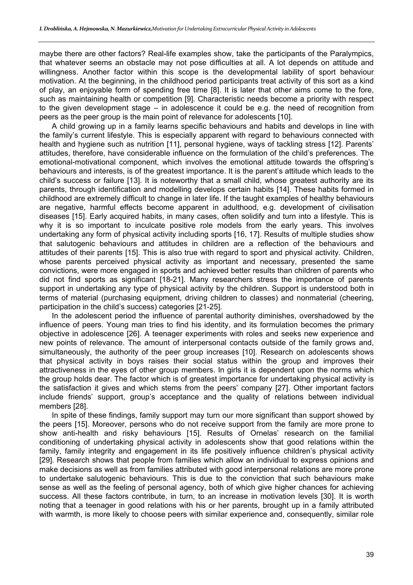maybe there are other factors? Real-life examples show, take the participants of the Paralympics, that whatever seems an obstacle may not pose difficulties at all. A lot depends on attitude and willingness. Another factor within this scope is the developmental lability of sport behaviour motivation. At the beginning, in the childhood period participants treat activity of this sort as a kind of play, an enjoyable form of spending free time [8]. It is later that other aims come to the fore, such as maintaining health or competition [9]. Characteristic needs become a priority with respect to the given development stage – in adolescence it could be e.g. the need of recognition from peers as the peer group is the main point of relevance for adolescents [10].

A child growing up in a family learns specific behaviours and habits and develops in line with the family's current lifestyle. This is especially apparent with regard to behaviours connected with health and hygiene such as nutrition [11], personal hygiene, ways of tackling stress [12]. Parents' attitudes, therefore, have considerable influence on the formulation of the child's preferences. The emotional-motivational component, which involves the emotional attitude towards the offspring's behaviours and interests, is of the greatest importance. It is the parent's attitude which leads to the child's success or failure [13]. It is noteworthy that a small child, whose greatest authority are its parents, through identification and modelling develops certain habits [14]. These habits formed in childhood are extremely difficult to change in later life. If the taught examples of healthy behaviours are negative, harmful effects become apparent in adulthood, e.g. development of civilisation diseases [15]. Early acquired habits, in many cases, often solidify and turn into a lifestyle. This is why it is so important to inculcate positive role models from the early years. This involves undertaking any form of physical activity including sports [16, 17]. Results of multiple studies show that salutogenic behaviours and attitudes in children are a reflection of the behaviours and attitudes of their parents [15]. This is also true with regard to sport and physical activity. Children, whose parents perceived physical activity as important and necessary, presented the same convictions, were more engaged in sports and achieved better results than children of parents who did not find sports as significant [18-21]. Many researchers stress the importance of parents support in undertaking any type of physical activity by the children. Support is understood both in terms of material (purchasing equipment, driving children to classes) and nonmaterial (cheering, participation in the child's success) categories [21-25].

In the adolescent period the influence of parental authority diminishes, overshadowed by the influence of peers. Young man tries to find his identity, and its formulation becomes the primary objective in adolescence [26]. A teenager experiments with roles and seeks new experience and new points of relevance. The amount of interpersonal contacts outside of the family grows and, simultaneously, the authority of the peer group increases [10]. Research on adolescents shows that physical activity in boys raises their social status within the group and improves their attractiveness in the eyes of other group members. In girls it is dependent upon the norms which the group holds dear. The factor which is of greatest importance for undertaking physical activity is the satisfaction it gives and which stems from the peers' company [27]. Other important factors include friends' support, group's acceptance and the quality of relations between individual members [28].

In spite of these findings, family support may turn our more significant than support showed by the peers [15]. Moreover, persons who do not receive support from the family are more prone to show anti-health and risky behaviours [15]. Results of Ornelas' research on the familial conditioning of undertaking physical activity in adolescents show that good relations within the family, family integrity and engagement in its life positively influence children's physical activity [29]. Research shows that people from families which allow an individual to express opinions and make decisions as well as from families attributed with good interpersonal relations are more prone to undertake salutogenic behaviours. This is due to the conviction that such behaviours make sense as well as the feeling of personal agency, both of which give higher chances for achieving success. All these factors contribute, in turn, to an increase in motivation levels [30]. It is worth noting that a teenager in good relations with his or her parents, brought up in a family attributed with warmth, is more likely to choose peers with similar experience and, consequently, similar role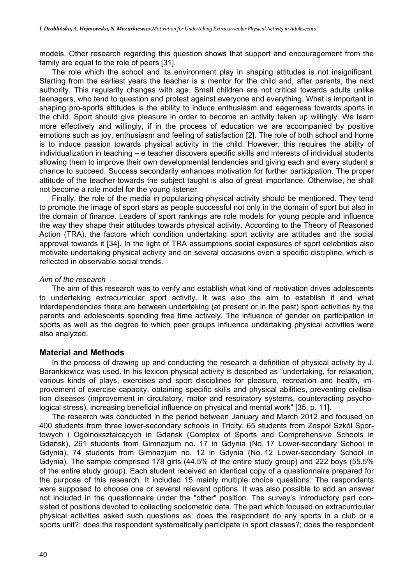models. Other research regarding this question shows that support and encouragement from the family are equal to the role of peers [31].

The role which the school and its environment play in shaping attitudes is not insignificant. Starting from the earliest years the teacher is a mentor for the child and, after parents, the next authority. This regularity changes with age. Small children are not critical towards adults unlike teenagers, who tend to question and protest against everyone and everything. What is important in shaping pro-sports attitudes is the ability to induce enthusiasm and eagerness towards sports in the child. Sport should give pleasure in order to become an activity taken up willingly. We learn more effectively and willingly, if in the process of education we are accompanied by positive emotions such as joy, enthusiasm and feeling of satisfaction [2]. The role of both school and home is to induce passion towards physical activity in the child. However, this requires the ability of individualization in teaching – e teacher discovers specific skills and interests of individual students allowing them to improve their own developmental tendencies and giving each and every student a chance to succeed. Success secondarily enhances motivation for further participation. The proper attitude of the teacher towards the subject taught is also of great importance. Otherwise, he shall not become a role model for the young listener.

Finally, the role of the media in popularizing physical activity should be mentioned. They tend to promote the image of sport stars as people successful not only in the domain of sport but also in the domain of finance. Leaders of sport rankings are role models for young people and influence the way they shape their attitudes towards physical activity. According to the Theory of Reasoned Action (TRA), the factors which condition undertaking sport activity are attitudes and the social approval towards it [34]. In the light of TRA assumptions social exposures of sport celebrities also motivate undertaking physical activity and on several occasions even a specific discipline, which is reflected in observable social trends.

#### *Aim of the research*

The aim of this research was to verify and establish what kind of motivation drives adolescents to undertaking extracurricular sport activity. It was also the aim to establish if and what interdependencies there are between undertaking (at present or in the past) sport activities by the parents and adolescents spending free time actively. The influence of gender on participation in sports as well as the degree to which peer groups influence undertaking physical activities were also analyzed.

# **Material and Methods**

In the process of drawing up and conducting the research a definition of physical activity by J. Barankiewicz was used. In his lexicon physical activity is described as "undertaking, for relaxation, various kinds of plays, exercises and sport disciplines for pleasure, recreation and health, improvement of exercise capacity, obtaining specific skills and physical abilities, preventing civilisation diseases (improvement in circulatory, motor and respiratory systems, counteracting psychological stress), increasing beneficial influence on physical and mental work" [35, p. 11].

The research was conducted in the period between January and March 2012 and focused on 400 students from three lower-secondary schools in Tricity. 65 students from Zespół Szkół Sportowych i Ogólnokształcących in Gdańsk (Complex of Sports and Comprehensive Schools in Gdańsk), 261 students from Gimnazjum no. 17 in Gdynia (No. 17 Lower-secondary School in Gdynia), 74 students from Gimnazjum no. 12 in Gdynia (No. 12 Lower-secondary School in Gdynia). The sample comprised 178 girls (44.5% of the entire study group) and 222 boys (55.5% of the entire study group). Each student received an identical copy of a questionnaire prepared for the purpose of this research. It included 15 mainly multiple choice questions. The respondents were supposed to choose one or several relevant options. It was also possible to add an answer not included in the questionnaire under the "other" position. The survey's introductory part consisted of positions devoted to collecting sociometric data. The part which focused on extracurricular physical activities asked such questions as: does the respondent do any sports in a club or a sports unit?; does the respondent systematically participate in sport classes?; does the respondent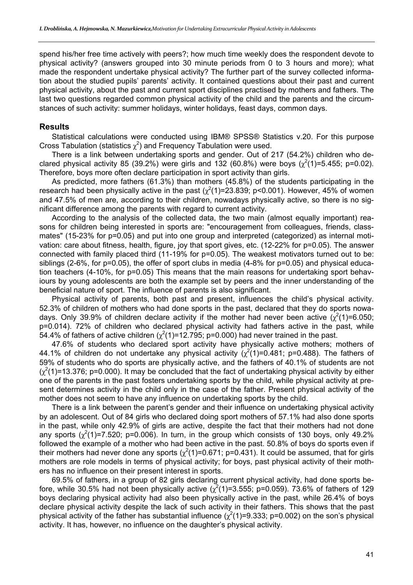spend his/her free time actively with peers?; how much time weekly does the respondent devote to physical activity? (answers grouped into 30 minute periods from 0 to 3 hours and more); what made the respondent undertake physical activity? The further part of the survey collected information about the studied pupils' parents' activity. It contained questions about their past and current physical activity, about the past and current sport disciplines practised by mothers and fathers. The last two questions regarded common physical activity of the child and the parents and the circumstances of such activity: summer holidays, winter holidays, feast days, common days.

#### **Results**

Statistical calculations were conducted using IBM® SPSS® Statistics v.20. For this purpose Cross Tabulation (statistics  $\chi^2$ ) and Frequency Tabulation were used.

There is a link between undertaking sports and gender. Out of 217 (54.2%) children who declared physical activity 85 (39.2%) were girls and 132 (60.8%) were boys ( $\chi^2(1)$ =5.455; p=0.02). Therefore, boys more often declare participation in sport activity than girls.

As predicted, more fathers (61.3%) than mothers (45.8%) of the students participating in the research had been physically active in the past ( $\chi^2(1)$ =23.839; p<0.001). However, 45% of women and 47.5% of men are, according to their children, nowadays physically active, so there is no significant difference among the parents with regard to current activity.

According to the analysis of the collected data, the two main (almost equally important) reasons for children being interested in sports are: "encouragement from colleagues, friends, classmates" (15-23% for p=0.05) and put into one group and interpreted (categorized) as internal motivation: care about fitness, health, figure, joy that sport gives, etc. (12-22% for p=0.05). The answer connected with family placed third (11-19% for p=0.05). The weakest motivators turned out to be: siblings (2-6%, for p=0.05), the offer of sport clubs in media (4-8% for p=0.05) and physical education teachers (4-10%, for p=0.05) This means that the main reasons for undertaking sport behaviours by young adolescents are both the example set by peers and the inner understanding of the beneficial nature of sport. The influence of parents is also significant.

Physical activity of parents, both past and present, influences the child's physical activity. 52.3% of children of mothers who had done sports in the past, declared that they do sports nowadays. Only 39.9% of children declare activity if the mother had never been active  $(\chi^2(1)=6.050;$ p=0.014). 72% of children who declared physical activity had fathers active in the past, while 54.4% of fathers of active children ( $\chi^2(1)$ =12.795; p=0.000) had never trained in the past.

47.6% of students who declared sport activity have physically active mothers; mothers of 44.1% of children do not undertake any physical activity  $\chi^2(1)$ =0.481; p=0.488). The fathers of 59% of students who do sports are physically active, and the fathers of 40.1% of students are not  $(\chi^2(1)=13.376; p=0.000)$ . It may be concluded that the fact of undertaking physical activity by either one of the parents in the past fosters undertaking sports by the child, while physical activity at present determines activity in the child only in the case of the father. Present physical activity of the mother does not seem to have any influence on undertaking sports by the child.

There is a link between the parent's gender and their influence on undertaking physical activity by an adolescent. Out of 84 girls who declared doing sport mothers of 57.1% had also done sports in the past, while only 42.9% of girls are active, despite the fact that their mothers had not done any sports  $(\chi^2(1)=7.520; p=0.006)$ . In turn, in the group which consists of 130 boys, only 49.2% followed the example of a mother who had been active in the past. 50.8% of boys do sports even if their mothers had never done any sports ( $\chi^2(1)$ =0.671; p=0.431). It could be assumed, that for girls mothers are role models in terms of physical activity; for boys, past physical activity of their mothers has no influence on their present interest in sports.

69.5% of fathers, in a group of 82 girls declaring current physical activity, had done sports before, while 30.5% had not been physically active ( $\chi^2(1)$ =3.555; p=0.059). 73.6% of fathers of 129 boys declaring physical activity had also been physically active in the past, while 26.4% of boys declare physical activity despite the lack of such activity in their fathers. This shows that the past physical activity of the father has substantial influence  $(\chi^2(1)=9.333; p=0.002)$  on the son's physical activity. It has, however, no influence on the daughter's physical activity.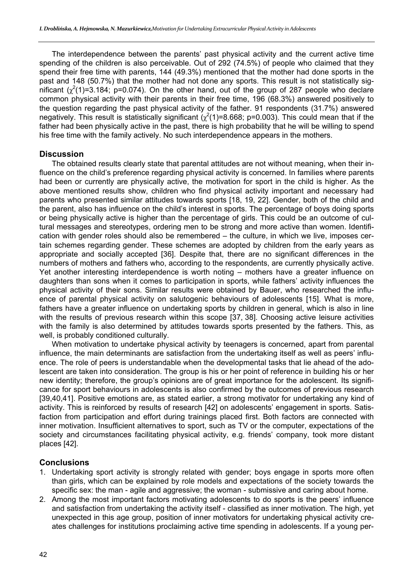The interdependence between the parents' past physical activity and the current active time spending of the children is also perceivable. Out of 292 (74.5%) of people who claimed that they spend their free time with parents, 144 (49.3%) mentioned that the mother had done sports in the past and 148 (50.7%) that the mother had not done any sports. This result is not statistically significant ( $\chi^2(1)$ =3.184; p=0.074). On the other hand, out of the group of 287 people who declare common physical activity with their parents in their free time, 196 (68.3%) answered positively to the question regarding the past physical activity of the father. 91 respondents (31.7%) answered negatively. This result is statistically significant  $(\chi^2(1)=8.668; p=0.003)$ . This could mean that if the father had been physically active in the past, there is high probability that he will be willing to spend his free time with the family actively. No such interdependence appears in the mothers.

### **Discussion**

The obtained results clearly state that parental attitudes are not without meaning, when their influence on the child's preference regarding physical activity is concerned. In families where parents had been or currently are physically active, the motivation for sport in the child is higher. As the above mentioned results show, children who find physical activity important and necessary had parents who presented similar attitudes towards sports [18, 19, 22]. Gender, both of the child and the parent, also has influence on the child's interest in sports. The percentage of boys doing sports or being physically active is higher than the percentage of girls. This could be an outcome of cultural messages and stereotypes, ordering men to be strong and more active than women. Identification with gender roles should also be remembered – the culture, in which we live, imposes certain schemes regarding gender. These schemes are adopted by children from the early years as appropriate and socially accepted [36]. Despite that, there are no significant differences in the numbers of mothers and fathers who, according to the respondents, are currently physically active. Yet another interesting interdependence is worth noting – mothers have a greater influence on daughters than sons when it comes to participation in sports, while fathers' activity influences the physical activity of their sons. Similar results were obtained by Bauer, who researched the influence of parental physical activity on salutogenic behaviours of adolescents [15]. What is more, fathers have a greater influence on undertaking sports by children in general, which is also in line with the results of previous research within this scope [37, 38]. Choosing active leisure activities with the family is also determined by attitudes towards sports presented by the fathers. This, as well, is probably conditioned culturally.

When motivation to undertake physical activity by teenagers is concerned, apart from parental influence, the main determinants are satisfaction from the undertaking itself as well as peers' influence. The role of peers is understandable when the developmental tasks that lie ahead of the adolescent are taken into consideration. The group is his or her point of reference in building his or her new identity; therefore, the group's opinions are of great importance for the adolescent. Its significance for sport behaviours in adolescents is also confirmed by the outcomes of previous research [39,40,41]. Positive emotions are, as stated earlier, a strong motivator for undertaking any kind of activity. This is reinforced by results of research [42] on adolescents' engagement in sports. Satisfaction from participation and effort during trainings placed first. Both factors are connected with inner motivation. Insufficient alternatives to sport, such as TV or the computer, expectations of the society and circumstances facilitating physical activity, e.g. friends' company, took more distant places [42].

# **Conclusions**

- 1. Undertaking sport activity is strongly related with gender; boys engage in sports more often than girls, which can be explained by role models and expectations of the society towards the specific sex: the man - agile and aggressive; the woman - submissive and caring about home.
- 2. Among the most important factors motivating adolescents to do sports is the peers' influence and satisfaction from undertaking the activity itself - classified as inner motivation. The high, yet unexpected in this age group, position of inner motivators for undertaking physical activity creates challenges for institutions proclaiming active time spending in adolescents. If a young per-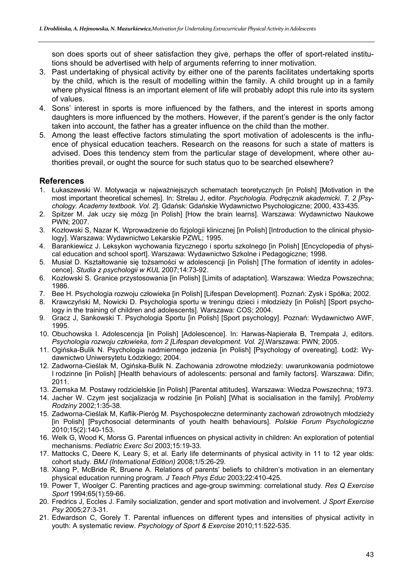son does sports out of sheer satisfaction they give, perhaps the offer of sport-related institutions should be advertised with help of arguments referring to inner motivation.

- 3. Past undertaking of physical activity by either one of the parents facilitates undertaking sports by the child, which is the result of modelling within the family. A child brought up in a family where physical fitness is an important element of life will probably adopt this rule into its system of values.
- 4. Sons' interest in sports is more influenced by the fathers, and the interest in sports among daughters is more influenced by the mothers. However, if the parent's gender is the only factor taken into account, the father has a greater influence on the child than the mother.
- 5. Among the least effective factors stimulating the sport motivation of adolescents is the influence of physical education teachers. Research on the reasons for such a state of matters is advised. Does this tendency stem from the particular stage of development, where other authorities prevail, or ought the source for such status quo to be searched elsewhere?

# **References**

- 1. Łukaszewski W. Motywacja w najważniejszych schematach teoretycznych [in Polish] [Motivation in the most important theoretical schemes]. In: Strelau J, editor. *Psychologia. Podręcznik akademicki. T. 2 [Psychology. Academy textbook. Vol. 2*]. Gdańsk: Gdańskie Wydawnictwo Psychologiczne; 2000, 433-435.
- 2. Spitzer M. Jak uczy się mózg [in Polish] [How the brain learns]. Warszawa: Wydawnictwo Naukowe PWN; 2007.
- 3. Kozłowski S, Nazar K. Wprowadzenie do fizjologii klinicznej [in Polish] [Introduction to the clinical physiology]. Warszawa: Wydawnictwo Lekarskie PZWL; 1995.
- 4. Barankiewicz J. Leksykon wychowania fizycznego i sportu szkolnego [in Polish] [Encyclopedia of physical education and school sport]. Warszawa: Wydawnictwo Szkolne i Pedagogiczne; 1998.
- 5. Musiał D. Kształtowanie się tożsamości w adolescencji [in Polish] [The formation of identity in adolescence]. *Studia z psychologii w KUL* 2007;14:73-92.
- 6. Kozłowski S. Granice przystosowania [in Polish] [Limits of adaptation]. Warszawa: Wiedza Powszechna; 1986.
- 7. Bee H. Psychologia rozwoju człowieka [in Polish] [Lifespan Development]. Poznań: Zysk i Spółka; 2002.
- 8. Krawczyński M, Nowicki D. Psychologia sportu w treningu dzieci i młodzieży [in Polish] [Sport psychology in the training of children and adolescents]. Warszawa: COS; 2004.
- 9. Gracz J, Sankowski T. Psychologia Sportu [in Polish] [Sport psychology]. Poznań: Wydawnictwo AWF, 1995.
- 10. Obuchowska I. Adolescencja [in Polish] [Adolescence]. In: Harwas-Napierała B, Trempała J, editors. *Psychologia rozwoju człowieka, tom 2 [Lifespan development. Vol. 2].*Warszawa: PWN; 2005.
- 11. Ogińska-Bulik N. Psychologia nadmiernego jedzenia [in Polish] [Psychology of overeating]. Łodź: Wydawnictwo Uniwersytetu Łódzkiego; 2004.
- 12. Zadworna-Cieślak M, Ogińska-Bulik N. Zachowania zdrowotne młodzieży: uwarunkowania podmiotowe I rodzinne [in Polish] [Health behaviours of adolescents: personal and family factors]. Warszawa: Difin; 2011.
- 13. Ziemska M. Postawy rodzicielskie [in Polish] [Parental attitudes]. Warszawa: Wiedza Powszechna; 1973.
- 14. Jacher W. Czym jest socjalizacja w rodzinie [in Polish] [What is socialisation in the family]. *Problemy Rodziny* 2002;1:35-38.
- 15. Zadworna-Cieślak M, Kaflik-Pieróg M. Psychospołeczne determinanty zachowań zdrowotnych młodzieży [in Polish] [Psychosocial determinants of youth health behaviours]. Polskie Forum Psychologiczne 2010;15(2):140-153.
- 16. Welk G, Wood K, Morss G. Parental influences on physical activity in children: An exploration of potential mechanisms. *Pediatric Exerc Sci* 2003;15:19-33.
- 17. Mattocks C, Deere K, Leary S, et al. Early life determinants of physical activity in 11 to 12 year olds: cohort study. *BMJ (International Edition)* 2008;1/5:26-29.
- 18. Xiang P, McBride R, Bruene A. Relations of parents' beliefs to children's motivation in an elementary physical education running program. *J Teach Phys Educ* 2003;22:410-425.
- 19. Power T, Woolger C. Parenting practices and age-group swimming: correlational study*. Res Q Exercise Sport* 1994;65(1):59-66.
- 20. Fredrics J, Eccles J. Family socialization, gender and sport motivation and involvement. *J Sport Exercise Psy* 2005;27:3-31.
- 21. Edwardson C, Gorely T. Parental influences on different types and intensities of physical activity in youth: A systematic review. *Psychology of Sport & Exercise* 2010;11:522-535.